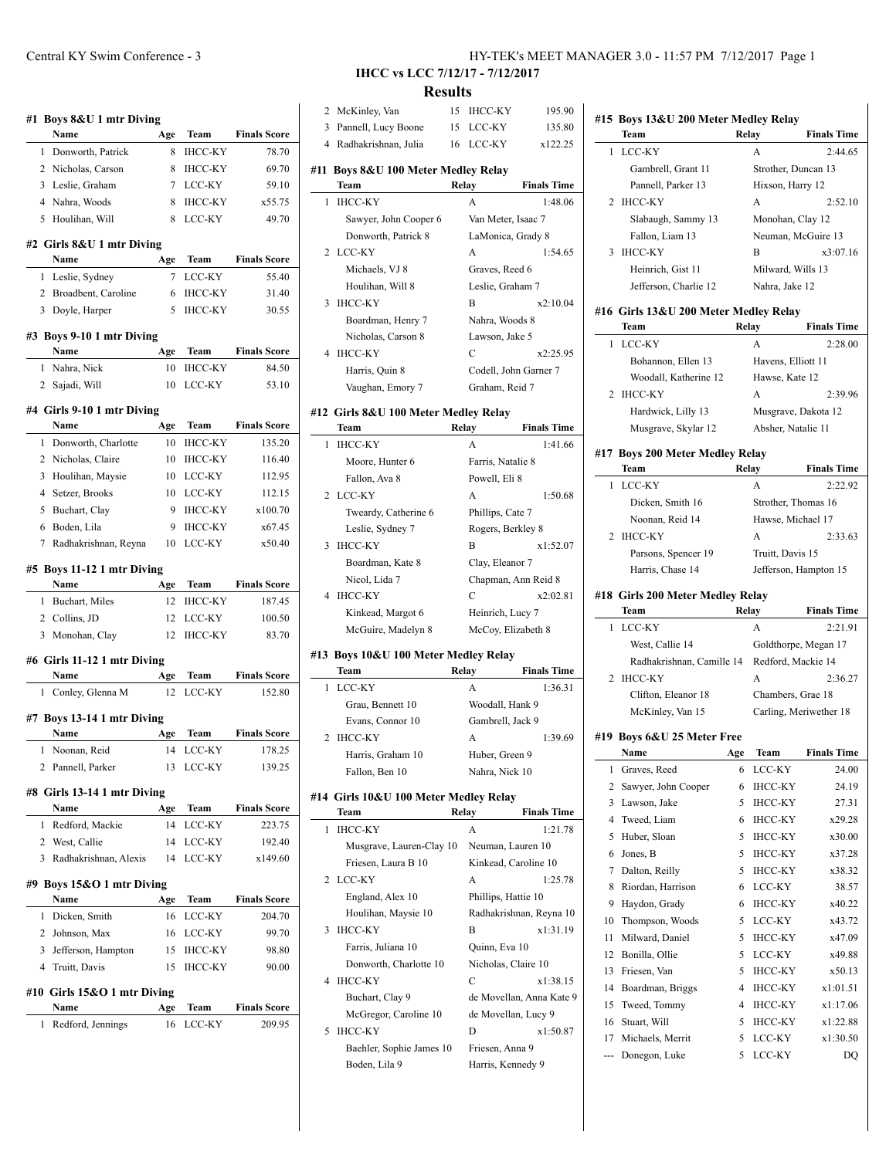|        | Name                                   | Age      | Team              | <b>Finals Score</b>                                                                          |
|--------|----------------------------------------|----------|-------------------|----------------------------------------------------------------------------------------------|
| 1      | Donworth, Patrick                      | 8        | ІНСС-КҮ           | 78.70                                                                                        |
|        | 2 Nicholas, Carson                     | 8        | <b>IHCC-KY</b>    | 69.70                                                                                        |
|        | 3 Leslie, Graham                       | 7        | LCC-KY            | 59.10                                                                                        |
|        | 4 Nahra, Woods                         | 8        | <b>IHCC-KY</b>    | x55.75                                                                                       |
| 5      | Houlihan, Will                         | 8        | LCC-KY            | 49.70                                                                                        |
|        | #2 Girls 8&U 1 mtr Diving              |          |                   |                                                                                              |
| 1      | Name                                   | Age<br>7 | Team<br>LCC-KY    | <b>Finals Score</b><br>55.40                                                                 |
|        | Leslie, Sydney                         |          |                   |                                                                                              |
| 2      | Broadbent, Caroline                    | 6        | <b>IHCC-KY</b>    | 31.40                                                                                        |
|        | 3 Doyle, Harper                        | 5        | <b>IHCC-KY</b>    | 30.55                                                                                        |
|        | #3 Boys 9-10 1 mtr Diving<br>Name      | Age      | Team              | <b>Finals Score</b>                                                                          |
| 1      | Nahra, Nick                            | 10       | <b>IHCC-KY</b>    | 84.50                                                                                        |
| 2      | Sajadi, Will                           | 10       | LCC-KY            | 53.10                                                                                        |
|        | #4 Girls 9-10 1 mtr Diving             |          |                   |                                                                                              |
|        | Name                                   | Age      | Team              | <b>Finals Score</b>                                                                          |
| 1      | Donworth, Charlotte                    | 10       | <b>IHCC-KY</b>    | 135.20                                                                                       |
|        | 2 Nicholas, Claire                     | 10       | <b>IHCC-KY</b>    | 116.40                                                                                       |
|        | 3 Houlihan, Maysie                     | 10       | LCC-KY            | 112.95                                                                                       |
|        | 4 Setzer, Brooks                       | 10       | LCC-KY            | 112.15                                                                                       |
|        | 5 Buchart, Clay                        | 9        | <b>IHCC-KY</b>    | x100.70                                                                                      |
|        | 6 Boden, Lila                          | 9        | <b>IHCC-KY</b>    | x67.45                                                                                       |
| 7      | Radhakrishnan, Reyna                   | 10       | LCC-KY            | x50.40                                                                                       |
|        | #5 Boys 11-12 1 mtr Diving             |          |                   |                                                                                              |
|        | Name                                   | Age      | Team              | <b>Finals Score</b>                                                                          |
| 1      | Buchart, Miles                         | 12       | ІНСС-КҮ           | 187.45                                                                                       |
|        | 2 Collins, JD                          | 12       | LCC-KY            | 100.50                                                                                       |
|        | Monohan, Clay                          |          |                   |                                                                                              |
| 3      |                                        | 12       | <b>IHCC-KY</b>    | 83.70                                                                                        |
|        | #6 Girls 11-12 1 mtr Diving            |          |                   |                                                                                              |
|        | Name                                   | Age      | Team              | <b>Finals Score</b>                                                                          |
| 1      | Conley, Glenna M                       | 12       | LCC-KY            |                                                                                              |
|        | Boys 13-14 1 mtr Diving                |          |                   |                                                                                              |
|        | Name                                   | Age      | Team              |                                                                                              |
| 1<br>2 | Noonan, Reid<br>Pannell, Parker        | 14<br>13 | LCC-KY<br>LCC-KY  |                                                                                              |
| #7     | #8 Girls 13-14 1 mtr Diving            |          |                   |                                                                                              |
|        | Name                                   | Age      | Team              |                                                                                              |
| 1      | Redford, Mackie                        | 14       | LCC-KY            |                                                                                              |
|        | 2 West, Callie                         | 14       | LCC-KY            | 152.80<br><b>Finals Score</b><br>178.25<br>139.25<br><b>Finals Score</b><br>223.75<br>192.40 |
| 3      | Radhakrishnan, Alexis                  | 14       | LCC-KY            |                                                                                              |
|        | #9 Boys 15&O 1 mtr Diving              |          |                   |                                                                                              |
|        | Name                                   | Age      | Team              |                                                                                              |
| 1      | Dicken, Smith                          | 16       | LCC-KY            |                                                                                              |
|        | 2 Johnson, Max<br>3 Jefferson, Hampton | 16<br>15 | LCC-KY<br>ІНСС-КҮ | x149.60<br><b>Finals Score</b><br>204.70<br>99.70<br>98.80                                   |

#### **#10 Girls 15&O 1 mtr Diving**

| <b>Name</b>         | Age Team  | <b>Finals Score</b> |
|---------------------|-----------|---------------------|
| 1 Redford, Jennings | 16 LCC-KY | 209.95              |

# **IHCC vs LCC 7/12/17 - 7/12/2017**

## **Results**

| 2 | McKinley, Van                             | 15    | <b>IHCC-KY</b>        | 195.90                   |
|---|-------------------------------------------|-------|-----------------------|--------------------------|
| 3 | Pannell, Lucy Boone                       | 15    | LCC-KY                | 135.80                   |
|   | 4 Radhakrishnan, Julia                    | 16    | LCC-KY                | x122.25                  |
|   |                                           |       |                       |                          |
|   | #11 Boys 8&U 100 Meter Medley Relay       |       |                       |                          |
|   | Team                                      | Relay |                       | <b>Finals Time</b>       |
| 1 | <b>IHCC-KY</b>                            |       | A                     | 1:48.06                  |
|   | Sawyer, John Cooper 6                     |       | Van Meter, Isaac 7    |                          |
|   | Donworth, Patrick 8                       |       | LaMonica, Grady 8     |                          |
| 2 | LCC-KY                                    |       | A                     | 1:54.65                  |
|   | Michaels, VJ 8                            |       | Graves, Reed 6        |                          |
|   | Houlihan, Will 8                          |       | Leslie, Graham 7      |                          |
| 3 | <b>IHCC-KY</b>                            |       | B                     | x2:10.04                 |
|   | Boardman, Henry 7                         |       | Nahra, Woods 8        |                          |
|   | Nicholas, Carson 8                        |       | Lawson, Jake 5        |                          |
| 4 | <b>IHCC-KY</b>                            |       | C                     | x2:25.95                 |
|   | Harris, Quin 8                            |       | Codell, John Garner 7 |                          |
|   | Vaughan, Emory 7                          |       | Graham, Reid 7        |                          |
|   |                                           |       |                       |                          |
|   | #12  Girls 8&U 100 Meter Medley Relay     |       |                       |                          |
|   | Team                                      | Relay |                       | <b>Finals Time</b>       |
| 1 | <b>IHCC-KY</b>                            |       | A                     | 1:41.66                  |
|   | Moore, Hunter 6                           |       | Farris, Natalie 8     |                          |
|   | Fallon, Ava 8                             |       | Powell, Eli 8         |                          |
|   | 2 LCC-KY                                  |       | А                     | 1:50.68                  |
|   | Tweardy, Catherine 6                      |       | Phillips, Cate 7      |                          |
|   | Leslie, Sydney 7                          |       | Rogers, Berkley 8     |                          |
| 3 | <b>IHCC-KY</b>                            |       | B                     | x1:52.07                 |
|   | Boardman, Kate 8                          |       | Clay, Eleanor 7       |                          |
|   | Nicol, Lida 7                             |       | Chapman, Ann Reid 8   |                          |
|   |                                           |       | C                     |                          |
|   |                                           |       |                       |                          |
| 4 | <b>IHCC-KY</b>                            |       |                       | x2:02.81                 |
|   | Kinkead, Margot 6                         |       | Heinrich, Lucy 7      |                          |
|   | McGuire, Madelyn 8                        |       | McCoy, Elizabeth 8    |                          |
|   | #13 Boys 10&U 100 Meter Medley Relay      |       |                       |                          |
|   | Team                                      | Relay |                       | <b>Finals Time</b>       |
| 1 | LCC-KY                                    |       | A                     | 1:36.31                  |
|   | Grau, Bennett 10                          |       | Woodall, Hank 9       |                          |
|   | Evans, Connor 10                          |       | Gambrell, Jack 9      |                          |
| 2 | <b>IHCC-KY</b>                            |       | А                     | 1:39.69                  |
|   | Harris, Graham 10                         |       | Huber, Green 9        |                          |
|   | Fallon, Ben 10                            |       | Nahra, Nick 10        |                          |
|   |                                           |       |                       |                          |
|   | #14 Girls 10&U 100 Meter Medley Relay     |       |                       |                          |
|   | Team                                      | Relay |                       | <b>Finals Time</b>       |
| 1 | <b>IHCC-KY</b>                            |       | A                     | 1:21.78                  |
|   | Musgrave, Lauren-Clay 10                  |       | Neuman, Lauren 10     |                          |
|   | Friesen, Laura B 10                       |       | Kinkead, Caroline 10  |                          |
| 2 | LCC-KY                                    |       | А                     | 1:25.78                  |
|   | England, Alex 10                          |       | Phillips, Hattie 10   |                          |
|   | Houlihan, Maysie 10                       |       |                       | Radhakrishnan, Reyna 10  |
| 3 | <b>IHCC-KY</b>                            |       | В                     | x1:31.19                 |
|   | Farris, Juliana 10                        |       | Quinn, Eva 10         |                          |
|   | Donworth, Charlotte 10                    |       | Nicholas, Claire 10   |                          |
| 4 | <b>IHCC-KY</b>                            |       | С                     | x1:38.15                 |
|   | Buchart, Clay 9                           |       |                       | de Movellan, Anna Kate 9 |
|   | McGregor, Caroline 10                     |       | de Movellan, Lucy 9   |                          |
| 5 | <b>IHCC-KY</b>                            |       | D                     | x1:50.87                 |
|   |                                           |       | Friesen, Anna 9       |                          |
|   | Baehler, Sophie James 10<br>Boden, Lila 9 |       | Harris, Kennedy 9     |                          |

|     | #15 Boys 13&U 200 Meter Medley Relay<br>Team  | Relay  |                       | <b>Finals Time</b>     |
|-----|-----------------------------------------------|--------|-----------------------|------------------------|
| 1   | LCC-KY                                        |        | А                     | 2:44.65                |
|     | Gambrell, Grant 11                            |        | Strother, Duncan 13   |                        |
|     | Pannell, Parker 13                            |        | Hixson, Harry 12      |                        |
| 2   | <b>IHCC-KY</b>                                |        | А                     | 2:52.10                |
|     | Slabaugh, Sammy 13                            |        | Monohan, Clay 12      |                        |
|     | Fallon, Liam 13                               |        | Neuman, McGuire 13    |                        |
| 3   | <b>IHCC-KY</b>                                |        | В                     | x3:07.16               |
|     | Heinrich, Gist 11                             |        | Milward, Wills 13     |                        |
|     | Jefferson, Charlie 12                         |        | Nahra, Jake 12        |                        |
|     |                                               |        |                       |                        |
|     | #16 Girls 13&U 200 Meter Medley Relay<br>Team | Relay  |                       | <b>Finals Time</b>     |
| 1   | LCC-KY                                        |        | А                     | 2:28.00                |
|     | Bohannon, Ellen 13                            |        | Havens, Elliott 11    |                        |
|     | Woodall, Katherine 12                         |        | Hawse, Kate 12        |                        |
| 2   | <b>IHCC-KY</b>                                |        | А                     | 2:39.96                |
|     | Hardwick, Lilly 13                            |        | Musgrave, Dakota 12   |                        |
|     | Musgrave, Skylar 12                           |        | Absher, Natalie 11    |                        |
| #17 |                                               |        |                       |                        |
|     | <b>Boys 200 Meter Medley Relay</b><br>Team    | Relay  |                       | <b>Finals Time</b>     |
| 1   | LCC-KY                                        |        | A                     | 2:22.92                |
|     | Dicken, Smith 16                              |        | Strother, Thomas 16   |                        |
|     | Noonan, Reid 14                               |        | Hawse, Michael 17     |                        |
| 2   | <b>IHCC-KY</b>                                |        | A                     | 2:33.63                |
|     | Parsons, Spencer 19                           |        | Truitt, Davis 15      |                        |
|     | Harris, Chase 14                              |        | Jefferson, Hampton 15 |                        |
|     |                                               |        |                       |                        |
| #18 | <b>Girls 200 Meter Medley Relay</b>           |        |                       |                        |
|     | Team                                          |        | Relay                 | <b>Finals Time</b>     |
|     |                                               |        |                       |                        |
| 1   | LCC-KY                                        |        | А                     | 2:21.91                |
|     | West, Callie 14                               |        | Goldthorpe, Megan 17  |                        |
|     | Radhakrishnan, Camille 14                     |        | Redford, Mackie 14    |                        |
| 2   | <b>IHCC-KY</b>                                |        | А                     | 2:36.27                |
|     | Clifton, Eleanor 18                           |        | Chambers, Grae 18     |                        |
|     | McKinley, Van 15                              |        |                       | Carling, Meriwether 18 |
|     | #19 Boys 6&U 25 Meter Free                    |        |                       |                        |
|     | Name                                          | Age    | Team                  | <b>Finals Time</b>     |
| 1   | Graves, Reed                                  | 6      | LCC-KY                | 24.00                  |
| 2   | Sawyer, John Cooper                           | 6      | <b>IHCC-KY</b>        | 24.19                  |
| 3   | Lawson, Jake                                  | 5      | IHCC-KY               | 27.31                  |
| 4   | Tweed, Liam                                   | 6      | <b>IHCC-KY</b>        | x29.28                 |
| 5   | Huber, Sloan                                  | 5      | <b>IHCC-KY</b>        | x30.00                 |
| 6   | Jones, B                                      | 5      | <b>IHCC-KY</b>        | x37.28                 |
| 7   | Dalton, Reilly                                | 5      | <b>IHCC-KY</b>        | x38.32                 |
| 8   | Riordan, Harrison                             | 6      | LCC-KY                | 38.57                  |
| 9   | Haydon, Grady                                 | 6      | <b>IHCC-KY</b>        | x40.22                 |
| 10  | Thompson, Woods                               | 5      | LCC-KY                | x43.72                 |
| 11  | Milward, Daniel                               | 5      | <b>IHCC-KY</b>        | x47.09                 |
| 12  | Bonilla, Ollie                                | 5      | LCC-KY                | x49.88                 |
| 13  | Friesen, Van                                  | 5      | IHCC-KY               | x50.13                 |
| 14  | Boardman, Briggs                              | 4      | IHCC-KY               | x1:01.51               |
| 15  | Tweed, Tommy                                  | 4      | IHCC-KY               | x1:17.06               |
| 16  | Stuart, Will                                  | 5      | <b>IHCC-KY</b>        | x1:22.88               |
| 17  | Michaels, Merrit<br>Donegon, Luke             | 5<br>5 | LCC-KY<br>LCC-KY      | x1:30.50               |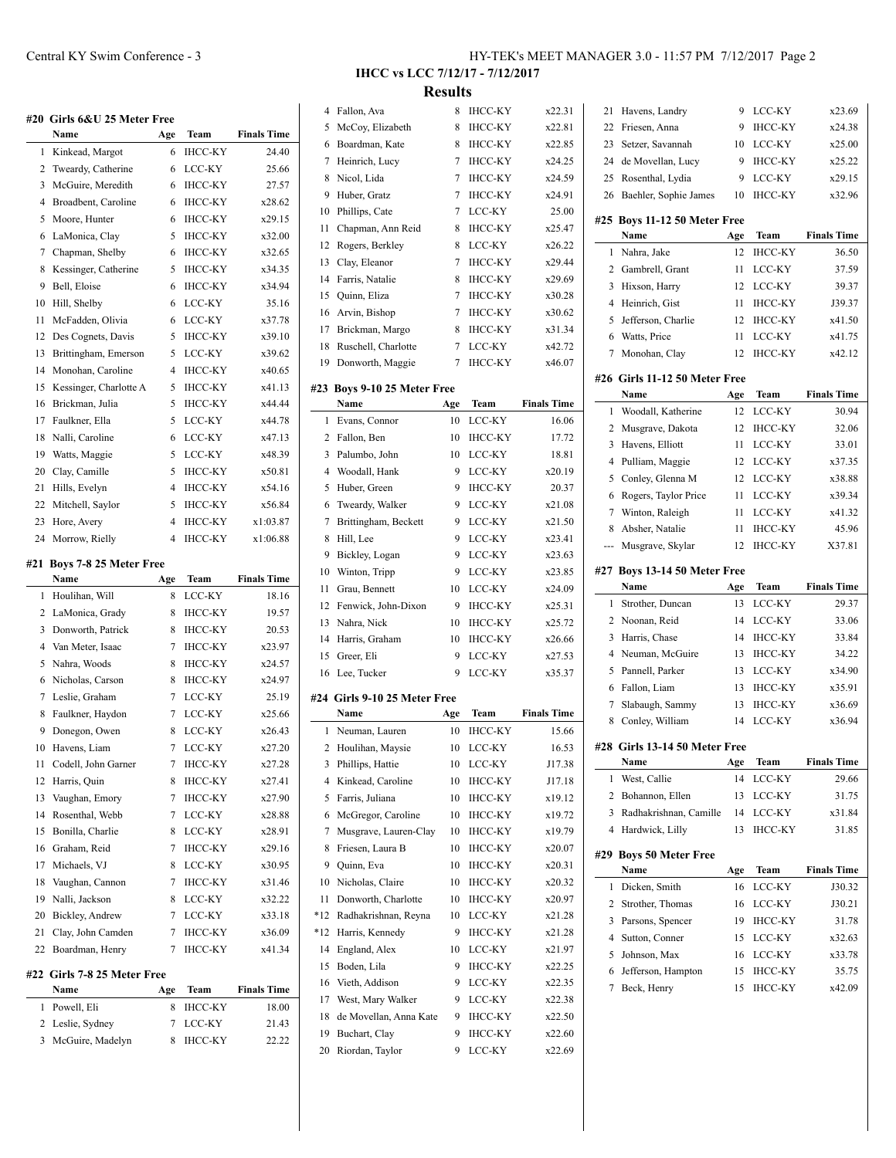|          | #20  Girls 6&U 25 Meter Free<br>Name | Age                 | Team                             | <b>Finals Time</b>   |
|----------|--------------------------------------|---------------------|----------------------------------|----------------------|
| 1        | Kinkead, Margot                      | 6                   | <b>IHCC-KY</b>                   | 24.40                |
| 2        | Tweardy, Catherine                   | 6                   | LCC-KY                           | 25.66                |
| 3        | McGuire, Meredith                    | 6                   | <b>IHCC-KY</b>                   | 27.57                |
| 4        | Broadbent, Caroline                  | 6                   | <b>IHCC-KY</b>                   | x28.62               |
| 5        | Moore, Hunter                        | 6                   | <b>IHCC-KY</b>                   | x29.15               |
| 6        | LaMonica, Clay                       | 5                   | <b>IHCC-KY</b>                   | x32.00               |
| 7        | Chapman, Shelby                      | 6                   | <b>IHCC-KY</b>                   | x32.65               |
| 8        | Kessinger, Catherine                 | 5                   | <b>IHCC-KY</b>                   | x34.35               |
| 9        | Bell, Eloise                         | 6                   | <b>IHCC-KY</b>                   | x34.94               |
| 10       | Hill, Shelby                         | 6                   | LCC-KY                           | 35.16                |
| 11       | McFadden, Olivia                     | 6                   | LCC-KY                           | x37.78               |
| 12       | Des Cognets, Davis                   | 5                   | <b>IHCC-KY</b>                   | x39.10               |
| 13       | Brittingham, Emerson                 | 5                   | LCC-KY                           | x39.62               |
| 14       | Monohan, Caroline                    | $\overline{4}$      | <b>IHCC-KY</b>                   | x40.65               |
| 15       | Kessinger, Charlotte A               | 5                   | <b>IHCC-KY</b>                   | x41.13               |
| 16       | Brickman, Julia                      | 5                   | <b>IHCC-KY</b>                   | x44.44               |
| 17       | Faulkner, Ella                       | 5                   | LCC-KY                           | x44.78               |
| 18       | Nalli, Caroline                      | 6                   | LCC-KY                           | x47.13               |
| 19       | Watts, Maggie                        | 5                   | LCC-KY                           | x48.39               |
| 20       |                                      | 5                   | <b>IHCC-KY</b>                   | x50.81               |
|          | Clay, Camille                        | 4                   |                                  |                      |
| 21<br>22 | Hills, Evelyn                        | 5                   | <b>IHCC-KY</b><br><b>IHCC-KY</b> | x54.16<br>x56.84     |
|          | Mitchell, Saylor                     |                     |                                  |                      |
| 23<br>24 | Hore, Avery                          | 4<br>$\overline{4}$ | <b>IHCC-KY</b><br><b>IHCC-KY</b> | x1:03.87<br>x1:06.88 |
|          | Morrow, Rielly                       |                     |                                  |                      |
|          | <b>Boys 7-8 25 Meter Free</b>        |                     |                                  |                      |
| #21      | Name                                 | Age                 | Team                             | <b>Finals Time</b>   |
| 1        | Houlihan, Will                       | 8                   | LCC-KY                           | 18.16                |
| 2        | LaMonica, Grady                      | 8                   | <b>IHCC-KY</b>                   | 19.57                |
| 3        | Donworth, Patrick                    | 8                   | <b>IHCC-KY</b>                   | 20.53                |
| 4        | Van Meter, Isaac                     | 7                   | <b>IHCC-KY</b>                   | x23.97               |
| 5        | Nahra, Woods                         | 8                   | <b>IHCC-KY</b>                   | x24.57               |
| 6        | Nicholas, Carson                     | 8                   | <b>IHCC-KY</b>                   | x24.97               |
| 7        | Leslie, Graham                       | 7                   | LCC-KY                           | 25.19                |
| 8        | Faulkner, Haydon                     | 7                   | LCC-KY                           | x25.66               |
| 9        | Donegon, Owen                        | 8                   | LCC-KY                           | x26.43               |
| 10       | Havens, Liam                         | 7                   | LCC-KY                           | x27.20               |
| 11       | Codell, John Garner                  | 7                   | IHCC-KY                          | x27.28               |
| 12       | Harris, Quin                         | 8                   | ІНСС-КҮ                          | x27.41               |
| 13       | Vaughan, Emory                       | 7                   | <b>IHCC-KY</b>                   | x27.90               |
| 14       | Rosenthal, Webb                      | 7                   | LCC-KY                           | x28.88               |
| 15       | Bonilla, Charlie                     | 8                   | LCC-KY                           | x28.91               |
| 16       | Graham, Reid                         | 7                   | <b>IHCC-KY</b>                   | x29.16               |
| 17       | Michaels, VJ                         | 8                   | LCC-KY                           | x30.95               |
| 18       | Vaughan, Cannon                      | 7                   | <b>IHCC-KY</b>                   | x31.46               |
| 19       | Nalli, Jackson                       | 8                   | LCC-KY                           | x32.22               |
| 20       | Bickley, Andrew                      | 7                   | LCC-KY                           | x33.18               |
| 21       | Clay, John Camden                    | 7                   | IHCC-KY                          | x36.09               |
| 22       | Boardman, Henry                      | 7                   | IHCC-KY                          | x41.34               |

 $\overline{\phantom{a}}$ 

 $\frac{1}{1}$ 

| Name               | Age | Team      | <b>Finals Time</b> |
|--------------------|-----|-----------|--------------------|
| 1 Powell, Eli      |     | 8 IHCC-KY | 18.00              |
| 2 Leslie, Sydney   |     | 7 LCC-KY  | 21.43              |
| 3 McGuire, Madelyn |     | 8 IHCC-KY | 22.22              |

 $LCC-KY$   $x23.69$ IHCC-KY x24.38  $LCC-KY$   $x25.00$  $IHCC-KY$   $x25.22$ LCC-KY x29.15 1HCC-KY x32.96

**Team Finals Time** 1 HCC-KY 36.50 LCC-KY 37.59 LCC-KY 39.37 HCC-KY J39.37  $IHCC-KY$   $x41.50$ LCC-KY x41.75 IHCC-KY x42.12

**Name Age Team Finals Time** 1 LCC-KY 30.94 IHCC-KY 32.06  $LCC-KY$  33.01  $LCC-KY$   $x37.35$  $LCC-KY$   $x38.88$ LCC-KY x39.34 LCC-KY x41.32 **IHCC-KY** 45.96 IHCC-KY X37.81

**Team Finals Time** 1 LCC-KY 29.37 LCC-KY 33.06 IHCC-KY 33.84 HCC-KY 34.22  $LCC-KY$   $x34.90$ IHCC-KY x35.91  $IHCC-KY$   $x36.69$ LCC-KY x36.94

**Name Age Team Finals Time** 1 LCC-KY 29.66 LCC-KY 31.75  $LCC-KY$   $x31.84$ HCC-KY 31.85

**Name Age Team Finals Time** 1 D.C.C.-KY J30.32 LCC-KY J30.21  $IHCC-KY$  31.78  $LCC-KY$   $x32.63$  $LCC-KY$   $x33.78$ HCC-KY 35.75 IHCC-KY x42.09

**IHCC vs LCC 7/12/17 - 7/12/2017 Results**

|       | 4 Fallon, Ava                 | 8   | <b>IHCC-KY</b> | x22.31             |                | 21 Havens, Landry             | 9   |
|-------|-------------------------------|-----|----------------|--------------------|----------------|-------------------------------|-----|
| 5     | McCoy, Elizabeth              | 8   | IHCC-KY        | x22.81             | 22             | Friesen, Anna                 | 9   |
| 6     | Boardman, Kate                | 8   | <b>IHCC-KY</b> | x22.85             | 23             | Setzer, Savannah              | 10  |
| 7     | Heinrich, Lucy                | 7   | <b>IHCC-KY</b> | x24.25             | 24             | de Movellan, Lucy             | 9   |
| 8     | Nicol, Lida                   | 7   | <b>IHCC-KY</b> | x24.59             | 25             | Rosenthal, Lydia              | 9   |
| 9     | Huber, Gratz                  | 7   | <b>IHCC-KY</b> | x24.91             | 26             | Baehler, Sophie James         | 10  |
| 10    | Phillips, Cate                | 7   | LCC-KY         | 25.00              |                |                               |     |
| 11    | Chapman, Ann Reid             | 8   | <b>IHCC-KY</b> | x25.47             |                | #25 Boys 11-12 50 Meter Free  |     |
| 12    | Rogers, Berkley               | 8   | LCC-KY         | x26.22             |                | Name                          | Age |
| 13    | Clay, Eleanor                 | 7   | <b>IHCC-KY</b> | x29.44             |                | 1 Nahra, Jake                 | 12  |
| 14    | Farris, Natalie               | 8   | <b>IHCC-KY</b> | x29.69             |                | 2 Gambrell, Grant             | 11  |
| 15    | Quinn, Eliza                  | 7   | <b>IHCC-KY</b> | x30.28             |                | 3 Hixson, Harry               | 12  |
| 16    | Arvin, Bishop                 | 7   | <b>IHCC-KY</b> | x30.62             | 4              | Heinrich, Gist                | 11  |
| 17    | Brickman, Margo               | 8   | <b>IHCC-KY</b> | x31.34             | 5              | Jefferson, Charlie            | 12  |
| 18    | Ruschell, Charlotte           | 7   | LCC-KY         | x42.72             | 6              | Watts, Price                  | 11  |
| 19    | Donworth, Maggie              | 7   | <b>IHCC-KY</b> | x46.07             | 7              | Monohan, Clay                 | 12  |
|       |                               |     |                |                    |                | #26 Girls 11-12 50 Meter Free |     |
|       | #23 Boys 9-10 25 Meter Free   |     |                |                    |                | Name                          | Age |
|       | Name                          | Age | Team           | <b>Finals Time</b> |                | 1 Woodall, Katherine          | 12  |
|       | 1 Evans, Connor               | 10  | LCC-KY         | 16.06              | 2              | Musgrave, Dakota              | 12  |
|       | 2 Fallon, Ben                 | 10  | <b>IHCC-KY</b> | 17.72              |                | 3 Havens, Elliott             | 11  |
| 3     | Palumbo, John                 | 10  | LCC-KY         | 18.81              | 4              | Pulliam, Maggie               | 12  |
| 4     | Woodall, Hank                 | 9   | LCC-KY         | x20.19             | 5              | Conley, Glenna M              | 12  |
| 5     | Huber, Green                  | 9   | <b>IHCC-KY</b> | 20.37              |                |                               |     |
| 6     | Tweardy, Walker               | 9   | LCC-KY         | x21.08             | 6              | Rogers, Taylor Price          | 11  |
| 7     | Brittingham, Beckett          | 9   | LCC-KY         | x21.50             | 7              | Winton, Raleigh               | 11  |
| 8     | Hill, Lee                     | 9   | LCC-KY         | x23.41             | 8              | Absher, Natalie               | 11  |
| 9     | Bickley, Logan                | 9   | LCC-KY         | x23.63             |                | Musgrave, Skylar              | 12  |
| 10    | Winton, Tripp                 | 9   | LCC-KY         | x23.85             |                | #27 Boys 13-14 50 Meter Free  |     |
| 11    | Grau, Bennett                 | 10  | LCC-KY         | x24.09             |                | Name                          | Age |
|       | 12 Fenwick, John-Dixon        | 9   | <b>IHCC-KY</b> | x25.31             |                | 1 Strother, Duncan            | 13  |
|       | 13 Nahra, Nick                | 10  | <b>IHCC-KY</b> | x25.72             |                | 2 Noonan, Reid                | 14  |
| 14    | Harris, Graham                | 10  | <b>IHCC-KY</b> | x26.66             |                | 3 Harris, Chase               | 14  |
| 15    | Greer, Eli                    | 9   | LCC-KY         | x27.53             | 4              | Neuman, McGuire               | 13  |
|       | 16 Lee, Tucker                | 9   | LCC-KY         | x35.37             |                | 5 Pannell, Parker             | 13  |
|       |                               |     |                |                    | 6              | Fallon, Liam                  | 13  |
|       | #24  Girls 9-10 25 Meter Free |     |                |                    | 7              | Slabaugh, Sammy               | 13  |
|       | Name                          | Age | Team           | <b>Finals Time</b> | 8              | Conley, William               | 14  |
|       | 1 Neuman, Lauren              | 10  | <b>IHCC-KY</b> | 15.66              |                |                               |     |
|       | 2 Houlihan, Maysie            | 10  | LCC-KY         | 16.53              |                | #28 Girls 13-14 50 Meter Free |     |
| 3     | Phillips, Hattie              | 10  | LCC-KY         | J17.38             |                | Name                          | Age |
| 4     | Kinkead, Caroline             | 10  | <b>IHCC-KY</b> | J17.18             | $\mathbf{1}$   | West, Callie                  | 14  |
| 5     | Farris, Juliana               | 10  | IHCC-KY        | x19.12             |                | 2 Bohannon, Ellen             | 13  |
| 6     | McGregor, Caroline            | 10  | <b>IHCC-KY</b> | x19.72             | 3              | Radhakrishnan, Camille        | 14  |
| 7     | Musgrave, Lauren-Clay         | 10  | IHCC-KY        | x19.79             |                | 4 Hardwick, Lilly             | 13  |
| 8     | Friesen, Laura B              | 10  | IHCC-KY        | x20.07             |                | #29 Boys 50 Meter Free        |     |
| 9     | Quinn, Eva                    | 10  | <b>IHCC-KY</b> | x20.31             |                | Name                          | Age |
| 10    | Nicholas, Claire              | 10  | IHCC-KY        | x20.32             |                | 1 Dicken, Smith               | 16  |
| 11    | Donworth, Charlotte           | 10  | IHCC-KY        | x20.97             | $\overline{2}$ | Strother, Thomas              | 16  |
| $*12$ | Radhakrishnan, Reyna          | 10  | LCC-KY         | x21.28             |                | 3 Parsons, Spencer            | 19  |
| $*12$ | Harris, Kennedy               | 9   | IHCC-KY        | x21.28             | 4              | Sutton, Conner                | 15  |
| 14    | England, Alex                 | 10  | LCC-KY         | x21.97             | 5              | Johnson, Max                  | 16  |
| 15    | Boden, Lila                   | 9   | IHCC-KY        | x22.25             | 6              | Jefferson, Hampton            | 15  |
| 16    | Vieth, Addison                | 9   | LCC-KY         | x22.35             |                |                               |     |
| 17    | West, Mary Walker             | 9   | LCC-KY         | x22.38             | 7              | Beck, Henry                   | 15  |
| 18    |                               |     |                |                    |                |                               |     |
|       | de Movellan, Anna Kate        | 9   | IHCC-KY        | x22.50             |                |                               |     |
| 19    | Buchart, Clay                 | 9   | ІНСС-КҮ        | x22.60             |                |                               |     |
| 20    | Riordan, Taylor               | 9   | LCC-KY         | x22.69             |                |                               |     |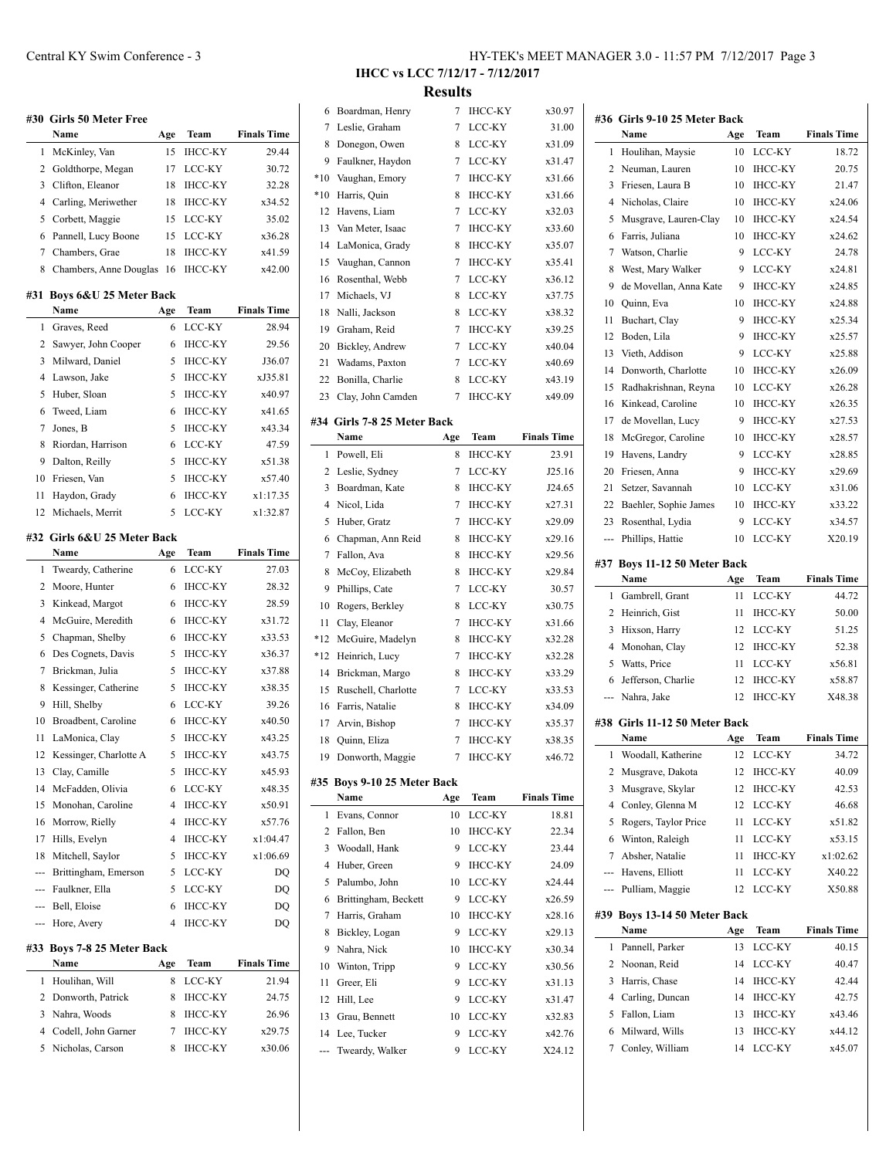|        | #30 Girls 50 Meter Free<br>Name       |           |                          | <b>Finals Time</b>          |
|--------|---------------------------------------|-----------|--------------------------|-----------------------------|
| 1      | McKinley, Van                         | Age<br>15 | Team<br><b>IHCC-KY</b>   | 29.44                       |
| 2      | Goldthorpe, Megan                     | 17        | LCC-KY                   | 30.72                       |
| 3      | Clifton, Eleanor                      | 18        | <b>IHCC-KY</b>           | 32.28                       |
| 4      | Carling, Meriwether                   | 18        | <b>IHCC-KY</b>           | x34.52                      |
| 5      |                                       | 15        | LCC-KY                   | 35.02                       |
|        | Corbett, Maggie                       |           |                          |                             |
| 6<br>7 | Pannell, Lucy Boone<br>Chambers, Grae | 15        | LCC-KY<br><b>IHCC-KY</b> | x36.28<br>x41.59            |
|        |                                       | 18        |                          |                             |
| 8      | Chambers, Anne Douglas                | 16        | IHCC-KY                  | x42.00                      |
| #31    | Boys 6&U 25 Meter Back<br>Name        |           | Team                     | <b>Finals Time</b>          |
| 1      | Graves, Reed                          | Age<br>6  | LCC-KY                   |                             |
|        |                                       |           |                          | 28.94                       |
| 2      | Sawyer, John Cooper                   | 6         | <b>IHCC-KY</b>           | 29.56                       |
| 3      | Milward, Daniel                       | 5         | <b>IHCC-KY</b>           | J36.07                      |
| 4      | Lawson, Jake                          | 5         | <b>IHCC-KY</b>           | xJ35.81                     |
| 5      | Huber, Sloan                          | 5         | <b>IHCC-KY</b>           | x40.97                      |
| 6      | Tweed, Liam                           | 6         | <b>IHCC-KY</b>           | x41.65                      |
| 7      | Jones, B                              | 5         | <b>IHCC-KY</b>           | x43.34                      |
| 8      | Riordan, Harrison                     | 6         | LCC-KY                   | 47.59                       |
| 9      | Dalton, Reilly                        | 5         | <b>IHCC-KY</b>           | x51.38                      |
| 10     | Friesen, Van                          | 5         | <b>IHCC-KY</b>           | x57.40                      |
| 11     | Haydon, Grady                         | 6         | <b>IHCC-KY</b>           | x1:17.35                    |
| 12     | Michaels, Merrit                      | 5         | LCC-KY                   | x1:32.87                    |
|        | #32 Girls 6&U 25 Meter Back           |           |                          |                             |
| 1      | Name<br>Tweardy, Catherine            | Age<br>6  | Team<br>LCC-KY           | <b>Finals Time</b><br>27.03 |
| 2      |                                       | 6         |                          |                             |
|        | Moore, Hunter                         |           | <b>IHCC-KY</b>           | 28.32                       |
| 3      | Kinkead, Margot                       | 6         | <b>IHCC-KY</b>           | 28.59                       |
| 4      | McGuire, Meredith                     | 6         | <b>IHCC-KY</b>           | x31.72                      |
| 5      | Chapman, Shelby                       | 6         | <b>IHCC-KY</b>           | x33.53                      |
| 6      | Des Cognets, Davis                    | 5         | <b>IHCC-KY</b>           | x36.37                      |
| 7      | Brickman, Julia                       | 5         | <b>IHCC-KY</b>           | x37.88                      |
| 8      | Kessinger, Catherine                  | 5         | <b>IHCC-KY</b>           | x38.35                      |
| 9      | Hill, Shelby                          | 6         | LCC-KY                   | 39.26                       |
| 10     | Broadbent, Caroline                   | 6         | <b>IHCC-KY</b>           | x40.50                      |
| 11     | LaMonica, Clay                        | 5         | <b>IHCC-KY</b>           | x43.25                      |
| 12     | Kessinger, Charlotte A                | 5         | <b>IHCC-KY</b>           | x43.75                      |
| 13     | Clay, Camille                         | 5         | <b>IHCC-KY</b>           | x45.93                      |
| 14     | McFadden, Olivia                      | 6         | LCC-KY                   | x48.35                      |
|        | 15 Monohan, Caroline                  | 4         | <b>IHCC-KY</b>           | x50.91                      |
|        | 16 Morrow, Rielly                     | 4         | IHCC-KY                  | x57.76                      |
|        | 17 Hills, Evelyn                      | 4         | IHCC-KY                  | x1:04.47                    |
| 18     | Mitchell, Saylor                      | 5         | <b>IHCC-KY</b>           | x1:06.69                    |
|        | --- Brittingham, Emerson              | 5         | LCC-KY                   | DQ                          |
|        | --- Faulkner, Ella                    | 5         | LCC-KY                   | DQ                          |
|        | --- Bell, Eloise                      | 6         | <b>IHCC-KY</b>           | DQ                          |
|        | --- Hore, Avery                       | 4         | <b>IHCC-KY</b>           | DQ                          |
|        | #33 Boys 7-8 25 Meter Back            |           |                          |                             |
|        | Name                                  | Age       | Team                     | <b>Finals Time</b>          |
| 1      | Houlihan, Will                        | 8         | LCC-KY                   | 21.94                       |
|        | 2 Donworth, Patrick                   | 8         | ІНСС-КҮ                  | 24.75                       |
| 3      | Nahra, Woods                          | 8         | ІНСС-КҮ                  | 26.96                       |
| 4      | Codell, John Garner                   | 7         | IHCC-KY                  | x29.75                      |
| 5      | Nicholas, Carson                      | 8         | IHCC-KY                  | x30.06                      |

 $\overline{a}$ 

**IHCC vs LCC 7/12/17 - 7/12/2017 Results**

| 6     | Boardman, Henry             | 7   | <b>IHCC-KY</b> | x30.97             |                          | #36 Girls 9-10 25 Meter Back  |     |                |                    |
|-------|-----------------------------|-----|----------------|--------------------|--------------------------|-------------------------------|-----|----------------|--------------------|
| 7     | Leslie, Graham              | 7   | LCC-KY         | 31.00              |                          | Name                          | Age | Team           | <b>Finals Time</b> |
| 8     | Donegon, Owen               | 8   | LCC-KY         | x31.09             |                          | 1 Houlihan, Maysie            | 10  | LCC-KY         | 18.72              |
| 9     | Faulkner, Haydon            | 7   | LCC-KY         | x31.47             |                          | 2 Neuman, Lauren              | 10  | <b>IHCC-KY</b> | 20.75              |
| $*10$ | Vaughan, Emory              | 7   | <b>IHCC-KY</b> | x31.66             | 3                        | Friesen, Laura B              | 10  | <b>IHCC-KY</b> | 21.47              |
| $*10$ | Harris, Quin                | 8   | <b>IHCC-KY</b> | x31.66             | 4                        | Nicholas, Claire              | 10  | IHCC-KY        | x24.06             |
| 12    | Havens, Liam                | 7   | LCC-KY         | x32.03             | 5                        | Musgrave, Lauren-Clay         | 10  | <b>IHCC-KY</b> | x24.54             |
| 13    | Van Meter, Isaac            | 7   | <b>IHCC-KY</b> | x33.60             | 6                        | Farris, Juliana               | 10  | <b>IHCC-KY</b> | x24.62             |
| 14    | LaMonica, Grady             | 8   | <b>IHCC-KY</b> | x35.07             | 7                        | Watson, Charlie               | 9   | LCC-KY         | 24.78              |
| 15    | Vaughan, Cannon             | 7   | <b>IHCC-KY</b> | x35.41             | 8                        | West, Mary Walker             | 9   | LCC-KY         | x24.81             |
| 16    | Rosenthal, Webb             | 7   | LCC-KY         | x36.12             | 9                        | de Movellan, Anna Kate        | 9   | <b>IHCC-KY</b> | x24.85             |
| 17    | Michaels, VJ                | 8   | LCC-KY         | x37.75             | 10                       | Quinn, Eva                    | 10  | IHCC-KY        | x24.88             |
| 18    | Nalli, Jackson              | 8   | LCC-KY         | x38.32             | 11                       | Buchart, Clay                 | 9   | <b>IHCC-KY</b> | x25.34             |
| 19    | Graham, Reid                | 7   | <b>IHCC-KY</b> | x39.25             | 12                       | Boden, Lila                   | 9   | <b>IHCC-KY</b> | x25.57             |
| 20    | Bickley, Andrew             | 7   | LCC-KY         | x40.04             | 13                       | Vieth, Addison                | 9   | LCC-KY         | x25.88             |
| 21    | Wadams, Paxton              | 7   | LCC-KY         | x40.69             | 14                       | Donworth, Charlotte           | 10  | <b>IHCC-KY</b> | x26.09             |
| 22    | Bonilla, Charlie            | 8   | LCC-KY         | x43.19             | 15                       | Radhakrishnan, Reyna          | 10  | LCC-KY         | x26.28             |
| 23    | Clay, John Camden           | 7   | <b>IHCC-KY</b> | x49.09             | 16                       | Kinkead, Caroline             | 10  | IHCC-KY        | x26.35             |
|       | #34 Girls 7-8 25 Meter Back |     |                |                    | 17                       | de Movellan, Lucy             | 9   | <b>IHCC-KY</b> | x27.53             |
|       | Name                        | Age | Team           | <b>Finals Time</b> | 18                       | McGregor, Caroline            | 10  | <b>IHCC-KY</b> | x28.57             |
|       | 1 Powell, Eli               | 8   | <b>IHCC-KY</b> | 23.91              | 19                       | Havens, Landry                | 9   | LCC-KY         | x28.85             |
|       | 2 Leslie, Sydney            | 7   | LCC-KY         | J25.16             | 20                       | Friesen, Anna                 | 9   | <b>IHCC-KY</b> | x29.69             |
| 3     | Boardman, Kate              | 8   | <b>IHCC-KY</b> | J24.65             | 21                       | Setzer, Savannah              | 10  | LCC-KY         | x31.06             |
| 4     | Nicol, Lida                 | 7   | IHCC-KY        | x27.31             | 22                       | Baehler, Sophie James         | 10  | <b>IHCC-KY</b> | x33.22             |
| 5     | Huber, Gratz                | 7   | <b>IHCC-KY</b> | x29.09             | 23                       | Rosenthal, Lydia              | 9   | LCC-KY         | x34.57             |
| 6     | Chapman, Ann Reid           | 8   | <b>IHCC-KY</b> | x29.16             |                          | Phillips, Hattie              | 10  | LCC-KY         | X20.19             |
| 7     | Fallon, Ava                 | 8   | <b>IHCC-KY</b> | x29.56             | $\hspace{0.05cm} \ldots$ |                               |     |                |                    |
| 8     | McCoy, Elizabeth            | 8   | <b>IHCC-KY</b> | x29.84             |                          | #37 Boys 11-12 50 Meter Back  |     |                |                    |
| 9     | Phillips, Cate              | 7   | LCC-KY         | 30.57              |                          | Name                          | Age | Team           | <b>Finals Time</b> |
| 10    | Rogers, Berkley             | 8   | LCC-KY         | x30.75             |                          | 1 Gambrell, Grant             | 11  | LCC-KY         | 44.72              |
| 11    | Clay, Eleanor               | 7   | <b>IHCC-KY</b> | x31.66             |                          | 2 Heinrich, Gist              | 11  | <b>IHCC-KY</b> | 50.00              |
| *12   | McGuire, Madelyn            | 8   | <b>IHCC-KY</b> | x32.28             |                          | 3 Hixson, Harry               | 12  | LCC-KY         | 51.25              |
| *12   | Heinrich, Lucy              | 7   | <b>IHCC-KY</b> | x32.28             | 4                        | Monohan, Clay                 | 12  | <b>IHCC-KY</b> | 52.38              |
| 14    | Brickman, Margo             | 8   | <b>IHCC-KY</b> | x33.29             | 5                        | Watts, Price                  | 11  | LCC-KY         | x56.81             |
| 15    | Ruschell, Charlotte         | 7   | LCC-KY         | x33.53             | 6                        | Jefferson, Charlie            | 12  | IHCC-KY        | x58.87             |
| 16    | Farris, Natalie             | 8   | IHCC-KY        | x34.09             | $\cdots$                 | Nahra, Jake                   | 12  | <b>IHCC-KY</b> | X48.38             |
| 17    | Arvin, Bishop               | 7   | <b>IHCC-KY</b> | x35.37             |                          | #38 Girls 11-12 50 Meter Back |     |                |                    |
| 18    | Quinn, Eliza                | 7   | <b>IHCC-KY</b> | x38.35             |                          | Name                          | Age | Team           | <b>Finals Time</b> |
|       | 19 Donworth, Maggie         |     | ІНСС-КҮ        | x46.72             | 1                        | Woodall, Katherine            |     | 12 LCC-KY      | 34.72              |
|       |                             |     |                |                    |                          | 2 Musgrave, Dakota            |     | 12 IHCC-KY     | 40.09              |
|       | #35 Boys 9-10 25 Meter Back |     |                |                    | 3                        | Musgrave, Skylar              | 12  | <b>IHCC-KY</b> | 42.53              |
|       | Name                        | Age | Team           | <b>Finals Time</b> | 4                        | Conley, Glenna M              | 12  | LCC-KY         | 46.68              |
|       | 1 Evans, Connor             | 10  | LCC-KY         | 18.81              | 5                        | Rogers, Taylor Price          | 11  | LCC-KY         | x51.82             |
|       | 2 Fallon, Ben               | 10  | IHCC-KY        | 22.34              | 6                        | Winton, Raleigh               | 11  | LCC-KY         | x53.15             |
| 3     | Woodall, Hank               | 9   | LCC-KY         | 23.44              | 7                        | Absher, Natalie               | 11  | ІНСС-КҮ        | x1:02.62           |
| 4     | Huber, Green                | 9   | <b>IHCC-KY</b> | 24.09              |                          | Havens, Elliott               | 11  | LCC-KY         | X40.22             |
| 5     | Palumbo, John               | 10  | LCC-KY         | x24.44             | ---                      | Pulliam, Maggie               | 12  | LCC-KY         | X50.88             |
| 6     | Brittingham, Beckett        | 9   | LCC-KY         | x26.59             |                          |                               |     |                |                    |
| 7     | Harris, Graham              | 10  | <b>IHCC-KY</b> | x28.16             |                          | #39 Boys 13-14 50 Meter Back  |     |                |                    |
| 8     | Bickley, Logan              | 9   | LCC-KY         | x29.13             |                          | Name                          | Age | Team           | <b>Finals Time</b> |
| 9     | Nahra, Nick                 | 10  | IHCC-KY        | x30.34             |                          | 1 Pannell, Parker             | 13  | LCC-KY         | 40.15              |
| 10    | Winton, Tripp               | 9   | LCC-KY         | x30.56             |                          | 2 Noonan, Reid                | 14  | LCC-KY         | 40.47              |
| 11    | Greer, Eli                  | 9   | LCC-KY         | x31.13             | 3                        | Harris, Chase                 | 14  | IHCC-KY        | 42.44              |
| 12    | Hill, Lee                   | 9   | LCC-KY         | x31.47             | 4                        | Carling, Duncan               | 14  | IHCC-KY        | 42.75              |
| 13    | Grau, Bennett               | 10  | LCC-KY         | x32.83             | 5                        | Fallon, Liam                  | 13  | IHCC-KY        | x43.46             |
| 14    | Lee, Tucker                 | 9   | LCC-KY         | x42.76             | 6                        | Milward, Wills                | 13  | <b>IHCC-KY</b> | x44.12             |
|       | Tweardy, Walker             | 9   | LCC-KY         | X24.12             | 7                        | Conley, William               | 14  | LCC-KY         | x45.07             |
|       |                             |     |                |                    |                          |                               |     |                |                    |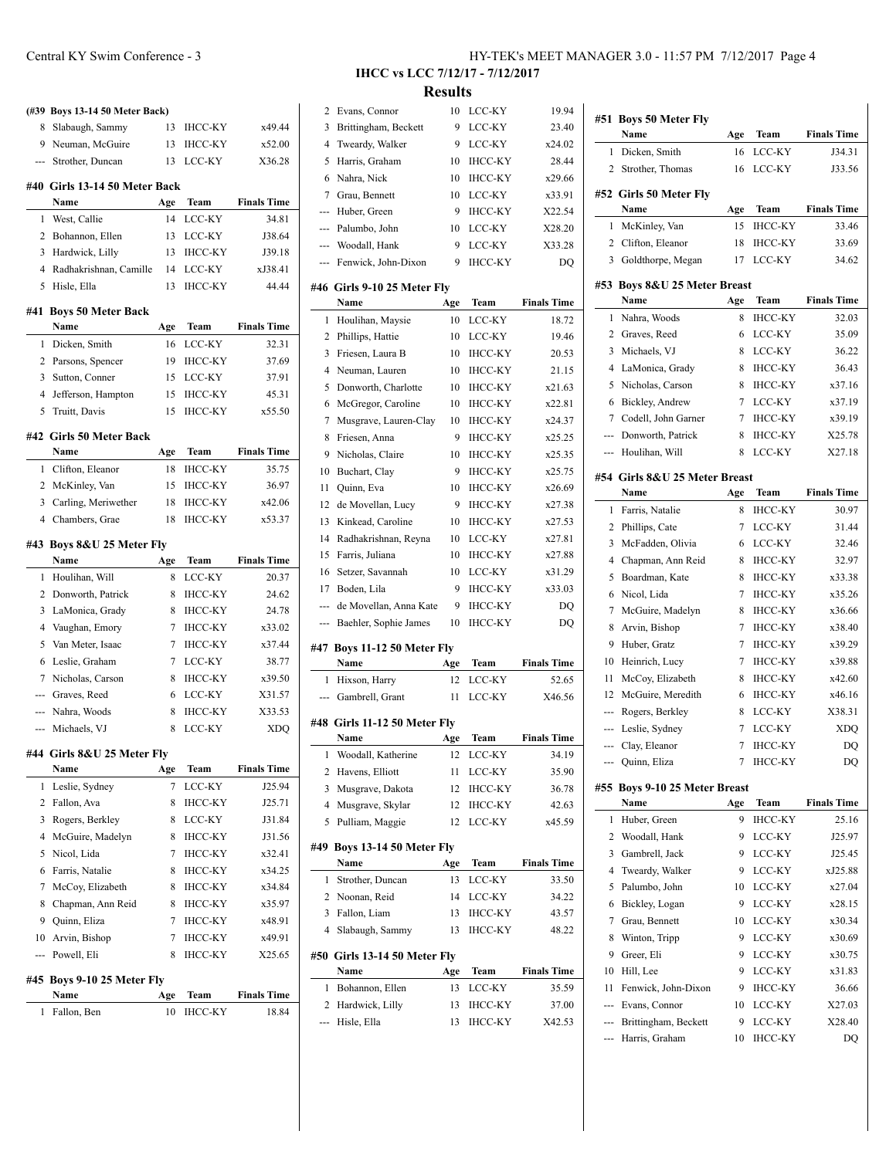|                | (#39 Boys 13-14 50 Meter Back)  |     |                |                    |
|----------------|---------------------------------|-----|----------------|--------------------|
| 8              | Slabaugh, Sammy                 | 13  | <b>IHCC-KY</b> | x49.44             |
|                | 9 Neuman, McGuire               | 13  | <b>IHCC-KY</b> | x52.00             |
| ---            | Strother, Duncan                | 13  | LCC-KY         | X36.28             |
|                |                                 |     |                |                    |
|                | #40 Girls 13-14 50 Meter Back   |     |                |                    |
|                | Name                            | Age | Team           | <b>Finals Time</b> |
| 1              | West, Callie                    | 14  | LCC-KY         | 34.81              |
|                | 2 Bohannon, Ellen               | 13  | LCC-KY         | J38.64             |
| 3              | Hardwick, Lilly                 | 13  | <b>IHCC-KY</b> | J39.18             |
| $\overline{4}$ | Radhakrishnan, Camille          | 14  | <b>LCC-KY</b>  | xJ38.41            |
| 5              | Hisle, Ella                     | 13  | <b>IHCC-KY</b> | 44.44              |
| #41            | <b>Boys 50 Meter Back</b>       |     |                |                    |
|                | Name                            | Age | Team           | <b>Finals Time</b> |
| 1              | Dicken, Smith                   | 16  | LCC-KY         | 32.31              |
| $\overline{2}$ | Parsons, Spencer                | 19  | <b>IHCC-KY</b> | 37.69              |
| 3              | Sutton, Conner                  | 15  | LCC-KY         | 37.91              |
| $\overline{4}$ | Jefferson, Hampton              | 15  | <b>IHCC-KY</b> | 45.31              |
| 5              | Truitt, Davis                   | 15  | <b>IHCC-KY</b> | x55.50             |
|                |                                 |     |                |                    |
|                | #42 Girls 50 Meter Back<br>Name | Age | Team           | <b>Finals Time</b> |
| 1              | Clifton, Eleanor                | 18  | <b>IHCC-KY</b> | 35.75              |
|                | 2 McKinley, Van                 | 15  | IHCC-KY        | 36.97              |
|                | 3 Carling, Meriwether           | 18  | IHCC-KY        | x42.06             |
|                | 4 Chambers, Grae                | 18  | <b>IHCC-KY</b> | x53.37             |
|                |                                 |     |                |                    |
|                | #43 Boys 8&U 25 Meter Fly       |     |                |                    |
|                | Name                            | Age | Team           | <b>Finals Time</b> |
| 1              | Houlihan, Will                  | 8   | LCC-KY         | 20.37              |
| 2              | Donworth, Patrick               | 8   | <b>IHCC-KY</b> | 24.62              |
| 3              | LaMonica, Grady                 | 8   | <b>IHCC-KY</b> | 24.78              |
| 4              | Vaughan, Emory                  | 7   | <b>IHCC-KY</b> | x33.02             |
| 5              | Van Meter, Isaac                | 7   | <b>IHCC-KY</b> | x37.44             |
| 6              | Leslie, Graham                  | 7   | LCC-KY         | 38.77              |
| $7^{\circ}$    | Nicholas, Carson                | 8   | <b>IHCC-KY</b> | x39.50             |
|                | --- Graves, Reed                | 6   | LCC-KY         | X31.57             |
|                | --- Nahra, Woods                | 8   | <b>IHCC-KY</b> | X33.53             |
|                | --- Michaels, VJ                | 8   | <b>LCC-KY</b>  | <b>XDQ</b>         |
|                | #44 Girls 8&U 25 Meter Fly      |     |                |                    |
|                | Name                            | Age | Team           | <b>Finals Time</b> |
| 1              | Leslie, Sydney                  | 7   | LCC-KY         | J25.94             |
| 2              | Fallon, Ava                     | 8   | ІНСС-КҮ        | J25.71             |
| 3              | Rogers, Berkley                 | 8   | LCC-KY         | J31.84             |
| 4              | McGuire, Madelyn                | 8   | IHCC-KY        | J31.56             |
| 5              | Nicol, Lida                     | 7   | ІНСС-КҮ        | x32.41             |
| 6              | Farris, Natalie                 | 8   | <b>IHCC-KY</b> | x34.25             |
| 7              | McCoy, Elizabeth                | 8   | <b>IHCC-KY</b> | x34.84             |
| 8              | Chapman, Ann Reid               | 8   | <b>IHCC-KY</b> | x35.97             |
|                | 9 Quinn, Eliza                  | 7   | <b>IHCC-KY</b> | x48.91             |
| 10             | Arvin, Bishop                   | 7   | <b>IHCC-KY</b> | x49.91             |
| ---            | Powell, Eli                     | 8   | IHCC-KY        | X25.65             |
|                |                                 |     |                |                    |
| #45            | Boys 9-10 25 Meter Fly          |     |                |                    |
|                | Name                            | Age | Team           | <b>Finals Time</b> |
| 1              | Fallon, Ben                     | 10  | ІНСС-КҮ        | 18.84              |

### **IHCC vs LCC 7/12/17 - 7/12/2017 Results**

| ---            | Hisle, Ella                         | 13  | <b>IHCC-KY</b> | X42.53             |
|----------------|-------------------------------------|-----|----------------|--------------------|
| 2              | Hardwick, Lilly                     | 13  | ІНСС-КҮ        | 37.00              |
| 1              | Bohannon, Ellen                     | 13  | LCC-KY         | 35.59              |
|                | Name                                | Age | Team           | <b>Finals Time</b> |
|                | #50 Girls 13-14 50 Meter Fly        |     |                |                    |
| 4              | Slabaugh, Sammy                     | 13  | <b>IHCC-KY</b> | 48.22              |
| 3              | Fallon, Liam                        | 13  | IHCC-KY        | 43.57              |
| 2              | Noonan, Reid                        | 14  | LCC-KY         | 34.22              |
| 1              | Strother, Duncan                    | 13  | LCC-KY         | 33.50              |
|                | Name                                | Age | Team           | <b>Finals Time</b> |
| #49            | <b>Boys 13-14 50 Meter Fly</b>      |     |                |                    |
| 5              | Pulliam, Maggie                     | 12  | LCC-KY         | x45.59             |
| 4              | Musgrave, Skylar                    | 12  | IHCC-KY        | 42.63              |
| 3              | Musgrave, Dakota                    | 12  | <b>IHCC-KY</b> | 36.78              |
| 2              | Havens, Elliott                     | 11  | LCC-KY         | 35.90              |
| 1              | Woodall, Katherine                  | 12  | LCC-KY         | 34.19              |
|                | Name                                | Age | Team           | <b>Finals Time</b> |
|                | #48 Girls 11-12 50 Meter Fly        |     |                |                    |
| ---            | Gambrell, Grant                     | 11  | LCC-KY         | X46.56             |
| 1              | Hixson, Harry                       | 12  | LCC-KY         | 52.65              |
|                | Name                                | Age | Team           | <b>Finals Time</b> |
| #47            | Boys 11-12 50 Meter Fly             |     |                |                    |
|                | Baehler, Sophie James               | 10  | <b>IHCC-KY</b> | DQ                 |
|                | de Movellan, Anna Kate              | 9   | <b>IHCC-KY</b> | DQ                 |
| 17             | Boden, Lila                         | 9   | <b>IHCC-KY</b> | x33.03             |
| 16             | Setzer, Savannah                    | 10  | LCC-KY         | x31.29             |
| 15             | Farris, Juliana                     | 10  | <b>IHCC-KY</b> | x27.88             |
| 14             | Radhakrishnan, Reyna                | 10  | LCC-KY         | x27.81             |
| 13             | Kinkead, Caroline                   | 10  | <b>IHCC-KY</b> | x27.53             |
| 12             | de Movellan, Lucy                   | 9   | IHCC-KY        | x27.38             |
| 11             | Quinn, Eva                          | 10  | <b>IHCC-KY</b> | x26.69             |
| 10             | Buchart, Clay                       | 9   | <b>IHCC-KY</b> | x25.75             |
| 9              | Nicholas, Claire                    | 10  | <b>IHCC-KY</b> | x25.35             |
| 8              | Friesen, Anna                       | 9   | <b>IHCC-KY</b> | x25.25             |
| 7              | Musgrave, Lauren-Clay               | 10  | <b>IHCC-KY</b> | x24.37             |
| 6              | McGregor, Caroline                  | 10  | <b>IHCC-KY</b> | x22.81             |
| 5              | Donworth, Charlotte                 | 10  | <b>IHCC-KY</b> | x21.63             |
| 4              | Neuman, Lauren                      | 10  | <b>IHCC-KY</b> | 21.15              |
| 3              | Friesen, Laura B                    | 10  | <b>IHCC-KY</b> | 20.53              |
| 2              | Phillips, Hattie                    | 10  | LCC-KY         | 19.46              |
| 1              | Houlihan, Maysie                    | 10  | LCC-KY         | 18.72              |
|                | #46 Girls 9-10 25 Meter Fly<br>Name | Age | Team           | <b>Finals Time</b> |
|                | --- Fenwick, John-Dixon             | 9   | <b>IHCC-KY</b> | DQ                 |
|                | Woodall, Hank                       | 9   | LCC-KY         | X33.28             |
|                | Palumbo, John                       | 10  | LCC-KY         | X28.20             |
| ---            | Huber, Green                        | 9   | <b>IHCC-KY</b> | X22.54             |
| 7              | Grau, Bennett                       | 10  | LCC-KY         | x33.91             |
| 6              | Nahra, Nick                         | 10  | <b>IHCC-KY</b> | x29.66             |
| 5              | Harris, Graham                      | 10  | <b>IHCC-KY</b> | 28.44              |
| $\overline{4}$ | Tweardy, Walker                     | 9   | LCC-KY         | x24.02             |
| 3              | Brittingham, Beckett                | 9   | LCC-KY         | 23.40              |
| 2              | Evans, Connor                       | 10  | LCC-KY         | 19.94              |

| #51 | <b>Boys 50 Meter Fly</b><br>Name | Age       | Team           | <b>Finals Time</b> |
|-----|----------------------------------|-----------|----------------|--------------------|
| 1   | Dicken, Smith                    | 16        | LCC-KY         | J34.31             |
| 2   | Strother, Thomas                 | 16        | LCC-KY         | J33.56             |
|     |                                  |           |                |                    |
|     | #52 Girls 50 Meter Fly           |           | Team           | <b>Finals Time</b> |
| 1   | Name<br>McKinley, Van            | Age<br>15 | <b>IHCC-KY</b> | 33.46              |
|     | 2 Clifton, Eleanor               | 18        | <b>IHCC-KY</b> |                    |
| 3   | Goldthorpe, Megan                | 17        | LCC-KY         | 33.69<br>34.62     |
|     | #53 Boys 8&U 25 Meter Breast     |           |                |                    |
|     | Name                             | Age       | Team           | <b>Finals Time</b> |
| 1   | Nahra, Woods                     | 8         | <b>IHCC-KY</b> | 32.03              |
| 2   | Graves, Reed                     | 6         | LCC-KY         | 35.09              |
| 3   | Michaels, VJ                     | 8         | LCC-KY         | 36.22              |
| 4   | LaMonica, Grady                  | 8         | <b>IHCC-KY</b> | 36.43              |
| 5   | Nicholas, Carson                 | 8         | <b>IHCC-KY</b> | x37.16             |
| 6   | Bickley, Andrew                  | 7         | LCC-KY         | x37.19             |
| 7   | Codell, John Garner              | 7         | <b>IHCC-KY</b> | x39.19             |
|     | --- Donworth, Patrick            | 8         | <b>IHCC-KY</b> | X25.78             |
|     | --- Houlihan, Will               | 8         | LCC-KY         | X27.18             |
|     | #54 Girls 8&U 25 Meter Breast    |           |                |                    |
|     | Name                             | Age       | <b>Team</b>    | <b>Finals Time</b> |
| 1   | Farris, Natalie                  | 8         | <b>IHCC-KY</b> | 30.97              |
| 2   | Phillips, Cate                   | 7         | LCC-KY         | 31.44              |
| 3   | McFadden, Olivia                 | 6         | LCC-KY         | 32.46              |
| 4   | Chapman, Ann Reid                | 8         | <b>IHCC-KY</b> | 32.97              |
| 5   | Boardman, Kate                   | 8         | <b>IHCC-KY</b> | x33.38             |
| 6   | Nicol, Lida                      | 7         | <b>IHCC-KY</b> | x35.26             |
| 7   | McGuire, Madelyn                 | 8         | <b>IHCC-KY</b> | x36.66             |
| 8   | Arvin, Bishop                    | 7         | <b>IHCC-KY</b> | x38.40             |
| 9   | Huber, Gratz                     | 7         | <b>IHCC-KY</b> | x39.29             |
| 10  | Heinrich, Lucy                   | 7         | <b>IHCC-KY</b> | x39.88             |
| 11  | McCoy, Elizabeth                 | 8         | <b>IHCC-KY</b> | x42.60             |
| 12  | McGuire, Meredith                | 6         | <b>IHCC-KY</b> | x46.16             |
| --- | Rogers, Berkley                  | 8         | LCC-KY         | X38.31             |
| --- | Leslie, Sydney                   | 7         | LCC-KY         | XDQ                |
| --- | Clay, Eleanor                    | 7         | <b>IHCC-KY</b> | DO                 |
|     | --- Quinn, Eliza                 | 7         | <b>IHCC-KY</b> | DQ                 |
|     | #55 Boys 9-10 25 Meter Breast    |           |                |                    |
|     | Name                             | Age       | <b>Team</b>    | <b>Finals Time</b> |
| 1   | Huber, Green                     | 9         | <b>IHCC-KY</b> | 25.16              |
| 2   | Woodall, Hank                    | 9         | LCC-KY         | J25.97             |
| 3   | Gambrell, Jack                   | 9         | LCC-KY         | J25.45             |
| 4   | Tweardy, Walker                  | 9         | LCC-KY         | xJ25.88            |
| 5   | Palumbo, John                    | 10        | LCC-KY         | x27.04             |
| 6   | Bickley, Logan                   | 9         | LCC-KY         | x28.15             |
| 7   | Grau, Bennett                    | 10        | LCC-KY         | x30.34             |
| 8   | Winton, Tripp                    | 9         | LCC-KY         | x30.69             |
| 9   | Greer, Eli                       | 9         | LCC-KY         | x30.75             |
| 10  | Hill, Lee                        | 9         | LCC-KY         | x31.83             |
| 11  | Fenwick, John-Dixon              | 9         | IHCC-KY        | 36.66              |
|     | --- Evans, Connor                | 10        | LCC-KY         | X27.03             |
|     | --- Brittingham, Beckett         | 9         | LCC-KY         | X28.40             |
| --- | Harris, Graham                   | 10        | ІНСС-КҮ        | DQ                 |
|     |                                  |           |                |                    |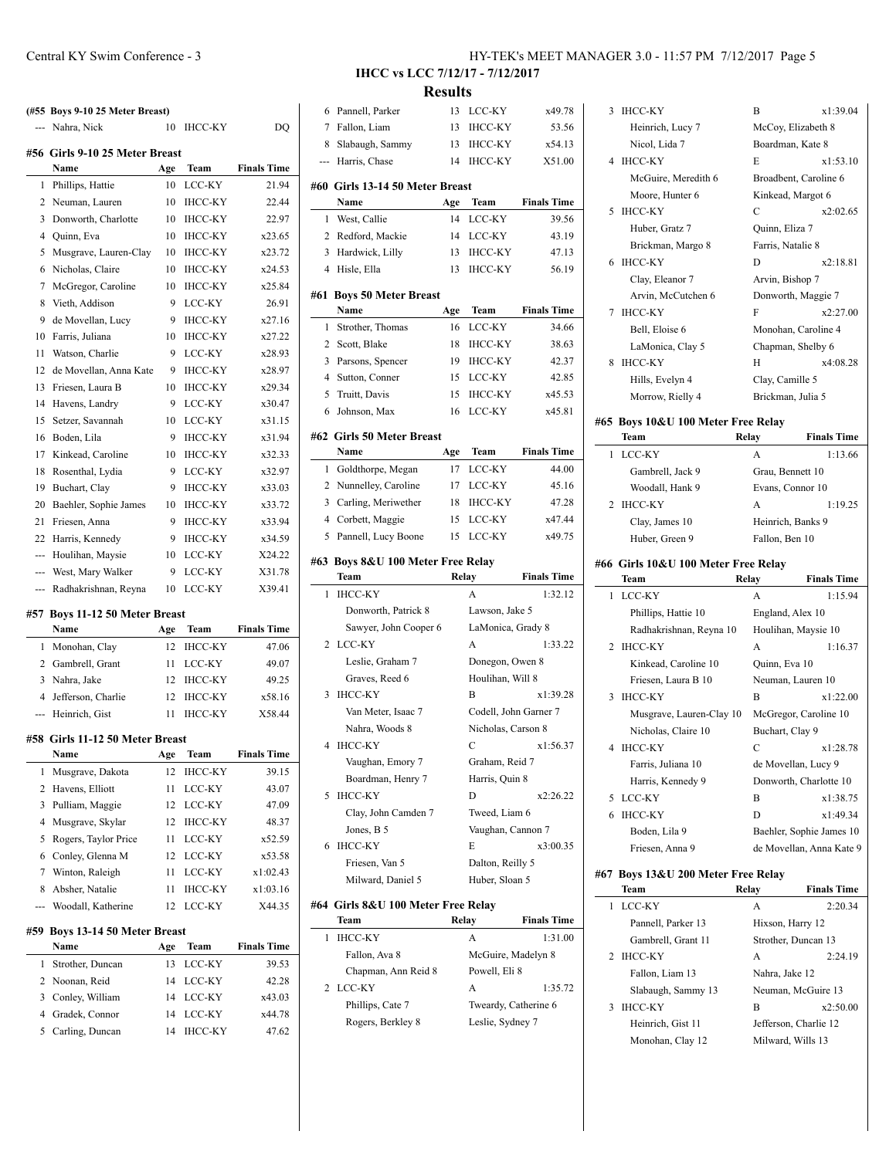|                          | (#55 Boys 9-10 25 Meter Breast)<br>--- Nahra, Nick | 10  | <b>IHCC-KY</b> | DO                 |
|--------------------------|----------------------------------------------------|-----|----------------|--------------------|
|                          |                                                    |     |                |                    |
|                          | #56 Girls 9-10 25 Meter Breast<br>Name             | Age | <b>Team</b>    | <b>Finals Time</b> |
| 1                        | Phillips, Hattie                                   | 10  | LCC-KY         | 21.94              |
| 2                        | Neuman, Lauren                                     | 10  | <b>IHCC-KY</b> | 22.44              |
| 3                        | Donworth, Charlotte                                | 10  | IHCC-KY        | 22.97              |
| 4                        | Quinn, Eva                                         | 10  | <b>IHCC-KY</b> | x23.65             |
| 5                        | Musgrave, Lauren-Clay                              | 10  | <b>IHCC-KY</b> | x23.72             |
| 6                        | Nicholas, Claire                                   | 10  | <b>IHCC-KY</b> | x24.53             |
| 7                        | McGregor, Caroline                                 | 10  | <b>IHCC-KY</b> | x25.84             |
| 8                        | Vieth, Addison                                     | 9   | LCC-KY         | 26.91              |
| 9                        | de Movellan, Lucy                                  | 9   | <b>IHCC-KY</b> | x27.16             |
| 10                       | Farris, Juliana                                    | 10  | <b>IHCC-KY</b> | x27.22             |
| 11                       | Watson, Charlie                                    | 9   | LCC-KY         | x28.93             |
| 12                       | de Movellan, Anna Kate                             | 9   | <b>IHCC-KY</b> | x28.97             |
| 13                       | Friesen, Laura B                                   | 10  | <b>IHCC-KY</b> | x29.34             |
| 14                       | Havens, Landry                                     | 9   | LCC-KY         | x30.47             |
| 15                       | Setzer, Savannah                                   | 10  | LCC-KY         | x31.15             |
| 16                       | Boden, Lila                                        | 9   | <b>IHCC-KY</b> | x31.94             |
| 17                       | Kinkead, Caroline                                  | 10  | <b>IHCC-KY</b> | x32.33             |
| 18                       | Rosenthal, Lydia                                   | 9   | LCC-KY         | x32.97             |
| 19                       | Buchart, Clay                                      | 9   | <b>IHCC-KY</b> | x33.03             |
| 20                       | Baehler, Sophie James                              | 10  | <b>IHCC-KY</b> | x33.72             |
| 21                       | Friesen, Anna                                      | 9   | <b>IHCC-KY</b> | x33.94             |
| 22                       | Harris, Kennedy                                    | 9   | <b>IHCC-KY</b> | x34.59             |
| $\overline{\phantom{a}}$ | Houlihan, Maysie                                   | 10  | LCC-KY         | X24.22             |
|                          | --- West, Mary Walker                              | 9   | LCC-KY         | X31.78             |
|                          | Radhakrishnan, Reyna                               | 10  | LCC-KY         | X39.41             |
|                          |                                                    |     |                |                    |
|                          | #57 Boys 11-12 50 Meter Breast                     |     |                |                    |
|                          | Name                                               | Age | Team           | <b>Finals Time</b> |
| 1                        | Monohan, Clay                                      | 12  | <b>IHCC-KY</b> | 47.06              |
|                          | 2 Gambrell, Grant                                  | 11  | LCC-KY         | 49.07              |
| 3                        | Nahra, Jake                                        | 12  | <b>IHCC-KY</b> | 49.25              |
| $\overline{4}$           | Jefferson, Charlie                                 | 12  | <b>IHCC-KY</b> | x58.16             |
|                          | --- Heinrich, Gist                                 | 11  | <b>IHCC-KY</b> | X58.44             |
|                          | #58 Girls 11-12 50 Meter Breast                    |     |                |                    |
|                          | Name                                               | Age | Team           | <b>Finals Time</b> |
| 1                        | Musgrave, Dakota                                   | 12  | <b>IHCC-KY</b> | 39.15              |
| 2                        | Havens, Elliott                                    | 11  | LCC-KY         | 43.07              |
| 3                        | Pulliam, Maggie                                    | 12  | LCC-KY         | 47.09              |
|                          |                                                    |     |                |                    |
| $\overline{4}$           | Musgrave, Skylar                                   | 12  | <b>IHCC-KY</b> | 48.37              |

| 3 Pulliam, Maggie      |     | 12 LCC-KY      | 47.09    |
|------------------------|-----|----------------|----------|
| 4 Musgrave, Skylar     | 12. | IHCC-KY        | 48.37    |
| 5 Rogers, Taylor Price |     | LCC-KY         | x52.59   |
| 6 Conley, Glenna M     |     | 12 LCC-KY      | x53.58   |
| 7 Winton, Raleigh      | 11  | LCC-KY         | x1:02.43 |
| 8 Absher, Natalie      |     | <b>IHCC-KY</b> | x1:03.16 |
| --- Woodall, Katherine | 12. | LCC-KY         | X44.35   |
|                        |     |                |          |

#### **#59 Boys 13-14 50 Meter Breast**

|  | Name               | Age | Team           | <b>Finals Time</b> |
|--|--------------------|-----|----------------|--------------------|
|  | 1 Strother, Duncan |     | 13 LCC-KY      | 39.53              |
|  | 2 Noonan, Reid     |     | 14 LCC-KY      | 42.28              |
|  | 3 Conley, William  |     | 14 LCC-KY      | x43.03             |
|  | 4 Gradek, Connor   |     | 14 LCC-KY      | x44.78             |
|  | 5 Carling, Duncan  | 14  | <b>IHCC-KY</b> | 47.62              |
|  |                    |     |                |                    |

#### Central KY Swim Conference - 3 HY-TEK's MEET MANAGER 3.0 - 11:57 PM 7/12/2017 Page 5

**IHCC vs LCC 7/12/17 - 7/12/2017 Results**

 $\overline{\phantom{0}}$ 

 $\overline{\phantom{0}}$ 

÷

| <b>Results</b> |                                             |     |                       |                    |  |  |
|----------------|---------------------------------------------|-----|-----------------------|--------------------|--|--|
| 6              | Pannell, Parker                             | 13  | LCC-KY                | x49.78             |  |  |
|                | 7 Fallon, Liam                              | 13  | <b>IHCC-KY</b>        | 53.56              |  |  |
| 8              | Slabaugh, Sammy                             | 13  | <b>IHCC-KY</b>        | x54.13             |  |  |
| ---            | Harris, Chase                               | 14  | <b>IHCC-KY</b>        | X51.00             |  |  |
|                | #60 Girls 13-14 50 Meter Breast             |     |                       |                    |  |  |
|                | Name                                        | Age | Team                  | <b>Finals Time</b> |  |  |
| 1              | West, Callie                                | 14  | LCC-KY                | 39.56              |  |  |
|                | 2 Redford, Mackie                           | 14  | LCC-KY                | 43.19              |  |  |
| 3              | Hardwick, Lilly                             | 13  | <b>IHCC-KY</b>        | 47.13              |  |  |
| $\overline{4}$ | Hisle, Ella                                 | 13  | <b>IHCC-KY</b>        | 56.19              |  |  |
|                |                                             |     |                       |                    |  |  |
| #61            | <b>Boys 50 Meter Breast</b>                 |     |                       |                    |  |  |
|                | Name                                        | Age | Team                  | <b>Finals Time</b> |  |  |
| 1              | Strother, Thomas                            | 16  | LCC-KY                | 34.66              |  |  |
|                | 2 Scott, Blake                              | 18  | <b>IHCC-KY</b>        | 38.63              |  |  |
| 3              | Parsons, Spencer                            | 19  | <b>IHCC-KY</b>        | 42.37              |  |  |
|                | 4 Sutton, Conner                            | 15  | LCC-KY                | 42.85              |  |  |
| 5              | Truitt, Davis                               | 15  | <b>IHCC-KY</b>        | x45.53             |  |  |
| 6              | Johnson, Max                                | 16  | LCC-KY                | x45.81             |  |  |
|                | #62 Girls 50 Meter Breast                   |     |                       |                    |  |  |
|                | Name                                        | Age | Team                  | <b>Finals Time</b> |  |  |
| 1              | Goldthorpe, Megan                           | 17  | LCC-KY                | 44.00              |  |  |
| 2              | Nunnelley, Caroline                         | 17  | LCC-KY                | 45.16              |  |  |
| 3              | Carling, Meriwether                         | 18  | <b>IHCC-KY</b>        | 47.28              |  |  |
| $\overline{4}$ | Corbett, Maggie                             | 15  | LCC-KY                | x47.44             |  |  |
| 5              | Pannell, Lucy Boone                         | 15  | LCC-KY                | x49.75             |  |  |
|                | #63 Boys 8&U 100 Meter Free Relay           |     |                       |                    |  |  |
|                |                                             |     |                       |                    |  |  |
|                | Team                                        |     | Relay                 | <b>Finals Time</b> |  |  |
| 1              | <b>IHCC-KY</b>                              |     | A                     | 1:32.12            |  |  |
|                | Donworth, Patrick 8                         |     | Lawson, Jake 5        |                    |  |  |
|                | Sawyer, John Cooper 6                       |     | LaMonica, Grady 8     |                    |  |  |
| 2              | LCC-KY                                      |     | A                     | 1:33.22            |  |  |
|                | Leslie, Graham 7                            |     | Donegon, Owen 8       |                    |  |  |
|                | Graves, Reed 6                              |     | Houlihan, Will 8      |                    |  |  |
| 3              | <b>IHCC-KY</b>                              |     | B                     | x1:39.28           |  |  |
|                | Van Meter, Isaac 7                          |     | Codell, John Garner 7 |                    |  |  |
|                | Nahra, Woods 8                              |     | Nicholas, Carson 8    |                    |  |  |
| 4              | IHCC-KY                                     |     | С                     | x1:56.37           |  |  |
|                | Vaughan, Emory 7                            |     | Graham, Reid 7        |                    |  |  |
|                | Boardman, Henry 7                           |     | Harris, Quin 8        |                    |  |  |
| 5              | <b>IHCC-KY</b>                              |     | D                     | x2:26.22           |  |  |
|                | Clay, John Camden 7                         |     | Tweed, Liam 6         |                    |  |  |
|                | Jones, B 5                                  |     | Vaughan, Cannon 7     |                    |  |  |
| 6              | <b>IHCC-KY</b>                              |     | E                     | x3:00.35           |  |  |
|                | Friesen, Van 5                              |     | Dalton, Reilly 5      |                    |  |  |
|                | Milward, Daniel 5                           |     | Huber, Sloan 5        |                    |  |  |
|                |                                             |     |                       |                    |  |  |
|                | #64  Girls 8&U 100 Meter Free Relay<br>Team |     | Relay                 | <b>Finals Time</b> |  |  |
| 1              | <b>IHCC-KY</b>                              |     | A                     | 1:31.00            |  |  |
|                | Fallon, Ava 8                               |     | McGuire, Madelyn 8    |                    |  |  |
|                |                                             |     | Powell, Eli 8         |                    |  |  |
| 2              | Chapman, Ann Reid 8<br>LCC-KY               |     | A                     | 1:35.72            |  |  |
|                | Phillips, Cate 7                            |     | Tweardy, Catherine 6  |                    |  |  |
|                | Rogers, Berkley 8                           |     | Leslie, Sydney 7      |                    |  |  |

| 3   | <b>IHCC-KY</b>                               | B                   | x1:39.04                 |
|-----|----------------------------------------------|---------------------|--------------------------|
|     | Heinrich, Lucy 7                             | McCoy, Elizabeth 8  |                          |
|     | Nicol, Lida 7                                | Boardman, Kate 8    |                          |
| 4   | <b>IHCC-KY</b>                               | E                   | x1:53.10                 |
|     | McGuire, Meredith 6                          |                     | Broadbent, Caroline 6    |
|     | Moore, Hunter 6                              | Kinkead, Margot 6   |                          |
| 5   | <b>IHCC-KY</b>                               | C                   | x2:02.65                 |
|     | Huber, Gratz 7                               | Quinn, Eliza 7      |                          |
|     | Brickman, Margo 8                            | Farris, Natalie 8   |                          |
| 6   | <b>IHCC-KY</b>                               | D                   | x2:18.81                 |
|     | Clay, Eleanor 7                              | Arvin, Bishop 7     |                          |
|     | Arvin, McCutchen 6                           | Donworth, Maggie 7  |                          |
| 7   | <b>IHCC-KY</b>                               | F                   | x2:27.00                 |
|     | Bell, Eloise 6                               |                     | Monohan, Caroline 4      |
|     | LaMonica, Clay 5                             | Chapman, Shelby 6   |                          |
| 8   | <b>IHCC-KY</b>                               | Н                   | x4:08.28                 |
|     | Hills, Evelyn 4                              | Clay, Camille 5     |                          |
|     | Morrow, Rielly 4                             | Brickman, Julia 5   |                          |
|     |                                              |                     |                          |
|     | #65 Boys 10&U 100 Meter Free Relay           |                     |                          |
|     | Team                                         | Relay               | <b>Finals Time</b>       |
| 1   | LCC-KY                                       | А                   | 1:13.66                  |
|     | Gambrell, Jack 9                             | Grau, Bennett 10    |                          |
|     | Woodall, Hank 9                              | Evans, Connor 10    |                          |
| 2   | <b>IHCC-KY</b>                               | A                   | 1:19.25                  |
|     | Clay, James 10                               | Heinrich, Banks 9   |                          |
|     | Huber, Green 9                               | Fallon, Ben 10      |                          |
|     |                                              |                     |                          |
|     |                                              |                     |                          |
|     | #66  Girls 10&U 100 Meter Free Relay<br>Team | Relay               | <b>Finals Time</b>       |
| 1   | LCC-KY                                       | А                   | 1:15.94                  |
|     | Phillips, Hattie 10                          | England, Alex 10    |                          |
|     | Radhakrishnan, Reyna 10                      | Houlihan, Maysie 10 |                          |
| 2   | <b>IHCC-KY</b>                               | А                   | 1:16.37                  |
|     | Kinkead, Caroline 10                         | Quinn, Eva 10       |                          |
|     | Friesen, Laura B 10                          | Neuman, Lauren 10   |                          |
| 3   | <b>IHCC-KY</b>                               | B                   | x1:22.00                 |
|     | Musgrave, Lauren-Clay 10                     |                     | McGregor, Caroline 10    |
|     | Nicholas, Claire 10                          | Buchart, Clay 9     |                          |
| 4   |                                              | $\mathbf C$         | x1:28.78                 |
|     | IHCC-KY<br>Farris, Juliana 10                | de Movellan, Lucy 9 |                          |
|     | Harris, Kennedy 9                            |                     | Donworth, Charlotte 10   |
| 5   | LCC-KY                                       | B                   | x1:38.75                 |
| 6   | <b>IHCC-KY</b>                               | D                   | x1:49.34                 |
|     | Boden, Lila 9                                |                     | Baehler, Sophie James 10 |
|     | Friesen, Anna 9                              |                     | de Movellan, Anna Kate 9 |
|     |                                              |                     |                          |
| #67 | Boys 13&U 200 Meter Free Relay               |                     |                          |
| 1   | Team                                         | Relay               | <b>Finals Time</b>       |
|     | LCC-KY                                       | А                   | 2:20.34                  |
|     | Pannell, Parker 13                           | Hixson, Harry 12    |                          |
|     | Gambrell, Grant 11                           | Strother, Duncan 13 |                          |
| 2   | <b>IHCC-KY</b>                               | А                   | 2:24.19                  |
|     | Fallon, Liam 13<br>Slabaugh, Sammy 13        | Nahra, Jake 12      | Neuman, McGuire 13       |

3 IHCC-KY B x2:50.00

# Heinrich, Gist 11 Jefferson, Charlie 12 Monohan, Clay 12 Milward, Wills 13